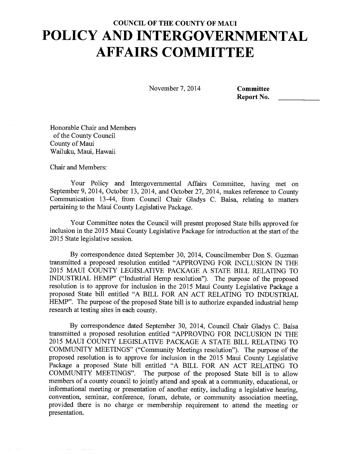November 7, 2014 **Committee** 

**Report No.** 

Honorable Chair and Members of the County Council County of Maui Wailuku, Maui, Hawaii

Chair and Members:

Your Policy and Intergovernmental Affairs Committee, having met on September 9, 2014, October 13, 2014, and October 27, 2014, makes reference to County Communication 13-44, from Council Chair Gladys C. Baisa, relating to matters pertaining to the Maui County Legislative Package.

Your Committee notes the Council will present proposed State bills approved for inclusion in the 2015 Maui County Legislative Package for introduction at the start of the 2015 State legislative session.

By correspondence dated September 30, 2014, Councilmember Don S. Guzman transmitted a proposed resolution entitled "APPROVING FOR INCLUSION IN THE 2015 MAUI COUNTY LEGISLATIVE PACKAGE A STATE BILL RELATING TO INDUSTRIAL HEMP" ("Industrial Hemp resolution"). The purpose of the proposed resolution is to approve for inclusion in the 2015 Maui County Legislative Package a proposed State bill entitled "A BILL FOR AN ACT RELATING TO INDUSTRIAL HEMP". The purpose of the proposed State bill is to authorize expanded industrial hemp research at testing sites in each county.

By correspondence dated September 30, 2014, Council Chair Gladys C. Baisa transmitted a proposed resolution entitled "APPROVING FOR INCLUSION IN THE 2015 MAUI COUNTY LEGISLATIVE PACKAGE A STATE BILL RELATING TO COMMUNITY MEETINGS" ("Community Meetings resolution"). The purpose of the proposed resolution is to approve for inclusion in the 2015 Maui County Legislative Package a proposed State bill entitled "A BILL FOR AN ACT RELATING TO COMMUNITY MEETINGS". The purpose of the proposed State bill is to allow members of a county council to jointly attend and speak at a community, educational, or informational meeting or presentation of another entity, including a legislative hearing, convention, seminar, conference, forum, debate, or community association meeting, provided there is no charge or membership requirement to attend the meeting or presentation.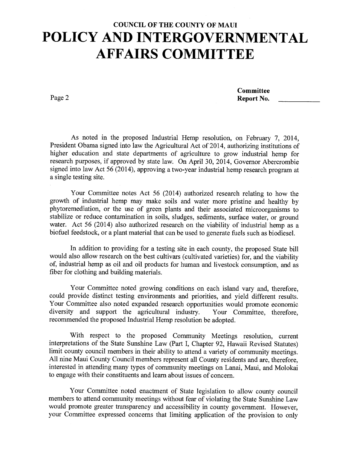Page 2

**Committee** Report No.

As noted in the proposed Industrial Hemp resolution, on February 7, 2014, President Obama signed into law the Agricultural Act of 2014, authorizing institutions of higher education and state departments of agriculture to grow industrial hemp for research purposes, if approved by state law. On April 30, 2014, Governor Abercrombie signed into law Act 56 (2014), approving a two-year industrial hemp research program at a single testing site.

Your Committee notes Act 56 (2014) authorized research relating to how the growth of industrial hemp may make soils and water more pristine and healthy by phytoremediation, or the use of green plants and their associated microorganisms to stabilize or reduce contamination in soils, sludges, sediments, surface water, or ground water. Act 56 (2014) also authorized research on the viability of industrial hemp as a biofuel feedstock, or a plant material that can be used to generate fuels such as biodiesel.

In addition to providing for a testing site in each county, the proposed State bill would also allow research on the best cultivars (cultivated varieties) for, and the viability of, industrial hemp as oil and oil products for human and livestock consumption, and as fiber for clothing and building materials.

Your Committee noted growing conditions on each island vary and, therefore, could provide distinct testing environments and priorities, and yield different results. Your Committee also noted expanded research opportunities would promote economic diversity and support the agricultural industry. Your Committee, therefore, recommended the proposed Industrial Hemp resolution be adopted.

With respect to the proposed Community Meetings resolution, current interpretations of the State Sunshine Law (Part I, Chapter 92, Hawaii Revised Statutes) limit county council members in their ability to attend a variety of community meetings. All nine Maui County Council members represent all County residents and are, therefore, interested in attending many types of community meetings on Lanai, Maui, and Molokai to engage with their constituents and learn about issues of concern.

Your Committee noted enactment of State legislation to allow county council members to attend community meetings without fear of violating the State Sunshine Law would promote greater transparency and accessibility in county government. However, your Committee expressed concerns that limiting application of the provision to only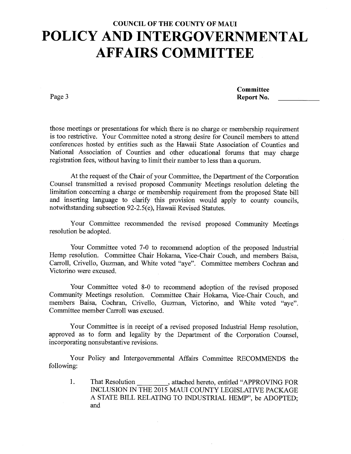Page 3

**Committee Report No.** 

those meetings or presentations for which there is no charge or membership requirement is too restrictive. Your Committee noted a strong desire for Council members to attend conferences hosted by entities such as the Hawaii State Association of Counties and National Association of Counties and other educational forums that may charge registration fees, without having to limit their number to less than a quorum.

At the request of the Chair of your Committee, the Department of the Corporation Counsel transmitted a revised proposed Community Meetings resolution deleting the limitation concerning a charge or membership requirement from the proposed State bill and inserting language to clarify this provision would apply to county councils, notwithstanding subsection 92-2.5(e), Hawaii Revised Statutes.

Your Committee recommended the revised proposed Community Meetings resolution be adopted.

Your Committee voted 7-0 to recommend adoption of the proposed Industrial Hemp resolution. Committee Chair Hokama, Vice-Chair Couch, and members Baisa, Carroll, Crivello, Guzman, and White voted "aye". Committee members Cochran and Victorino were excused.

Your Committee voted 8-0 to recommend adoption of the revised proposed Community Meetings resolution. Committee Chair Hokama, Vice-Chair Couch, and members Baisa, Cochran, Crivello, Guzman, Victorino, and White voted "aye". Committee member Carroll was excused.

Your Committee is in receipt of a revised proposed Industrial Hemp resolution, approved as to form and legality by the Department of the Corporation Counsel, incorporating nonsubstantive revisions.

Your Policy and Intergovernmental Affairs Committee RECOMMENDS the following:

1. That Resolution , attached hereto, entitled "APPROVING FOR INCLUSION IN THE 2015 MAUI COUNTY LEGISLATIVE PACKAGE A STATE BILL RELATING TO INDUSTRIAL HEMP", be ADOPTED; and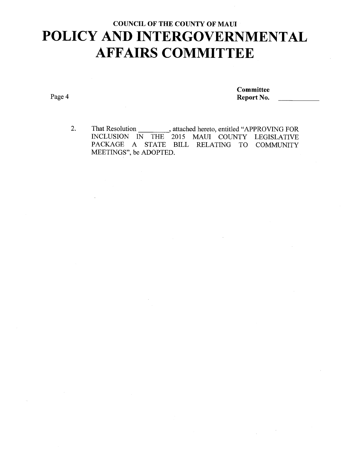Page 4

**Committee Report No.** 

2. That Resolution \_\_\_\_\_\_\_\_\_\_, attached hereto, entitled "APPROVING FOR INCLUSION IN THE 2015 MAUI COUNTY LEGISLATIVE PACKAGE A STATE BILL RELATING TO COMMUNITY MEETINGS", be ADOPTED.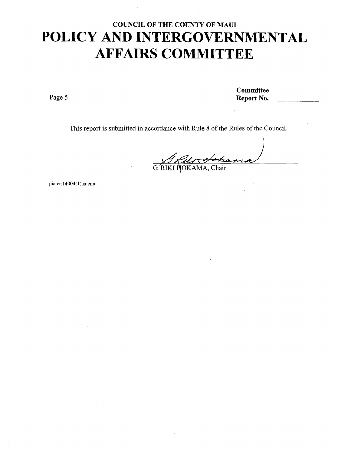Page 5

**Committee Report No.** 

This report is submitted in accordance with Rule 8 of the Rules of the Council.

G. RIKI HOKAMA, Chair

pia: cr: 14004(1)aa: cmn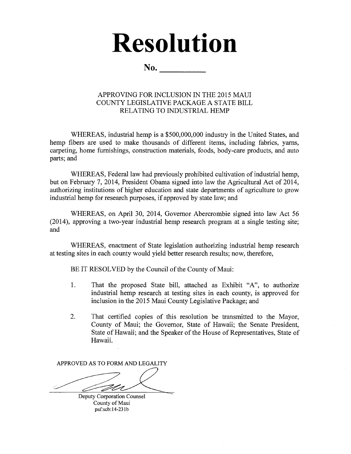# **Resolution**

**No.** 

#### APPROVING FOR INCLUSION IN THE 2015 MAUI COUNTY LEGISLATIVE PACKAGE A STATE BILL RELATING TO INDUSTRIAL HEMP

WHEREAS, industrial hemp is a \$500,000,000 industry in the United States, and hemp fibers are used to make thousands of different items, including fabrics, yarns, carpeting, home furnishings, construction materials, foods, body-care products, and auto parts; and

WHEREAS, Federal law had previously prohibited cultivation of industrial hemp, but on February 7, 2014, President Obama signed into law the Agricultural Act of 2014, authorizing institutions of higher education and state departments of agriculture to grow industrial hemp for research purposes, if approved by state law; and

WHEREAS, on April 30, 2014, Governor Abercrombie signed into law Act 56 (2014), approving a two-year industrial hemp research program at a single testing site; and

WHEREAS, enactment of State legislation authorizing industrial hemp research at testing sites in each county would yield better research results; now, therefore,

BE IT RESOLVED by the Council of the County of Maui:

- 1. That the proposed State bill, attached as Exhibit "A", to authorize industrial hemp research at testing sites in each county, is approved for inclusion in the 2015 Maui County Legislative Package; and
- 2. That certified copies of this resolution be transmitted to the Mayor, County of Maui; the Governor, State of Hawaii; the Senate President, State of Hawaii; and the Speaker of the House of Representatives, State of Hawaii.

APPROVED AS TO FORM AND LEGALITY

Deputy Corporation Counsel County of Maui paf: scb:14-231b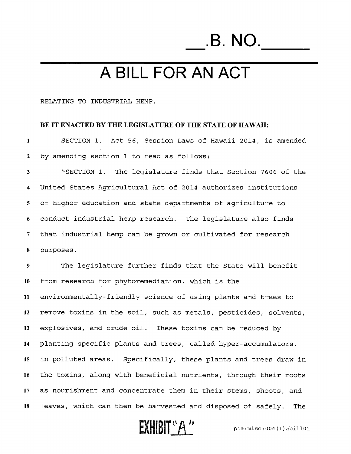# \_.B. NO.\_\_\_

## **A BILL FOR AN ACT**

#### RELATING TO INDUSTRIAL HEMP.

#### **BE IT ENACTED BY THE LEGISLATURE OF THE STATE OF HAWAII:**

1 SECTION 1. Act 56, Session Laws of Hawaii 2014, is amended 2 by amending section 1 to read as follows:

3 "SECTION 1. The legislature finds that Section 7606 of the 4 United States Agricultural Act of 2014 authorizes institutions 5 of higher education and state departments of agriculture to 6 conduct industrial hemp research. The legislature also finds 7 that industrial hemp can be grown or cultivated for research 8 purposes.

9 The legislature further finds that the State will benefit 10 from research for phytoremediation, which is the 11 environmentally-friendly science of using plants and trees to 12 remove toxins in the soil, such as metals, pesticides, solvents, 13 explosives, and crude oil. These toxins can be reduced by 14 planting specific plants and trees, called hyper-accumulators, 15 in polluted areas. Specifically, these plants and trees draw in 16 the toxins, along with beneficial nutrients, through their roots 17 as nourishment and concentrate them in their stems, shoots, and 18 leaves, which can then be harvested and disposed of safely. The

 $\text{EXHIBIT}$ <sup>"</sup> $A$ <sup>"</sup>  $P$   $P$ <sup>18</sup>  $P$ <sup>18</sup>  $P$ <sup>18</sup>  $P$ <sup>18</sup>  $P$ <sup>18</sup>  $P$ <sup>18</sup>  $P$ <sup>18</sup>  $P$ <sup>18</sup>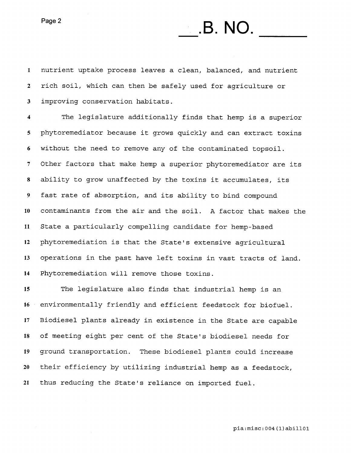Page 2

#### 1 nutrient uptake process leaves a clean, balanced, and nutrient rich soil, which can then be safely used for agriculture or 3 improving conservation habitats.

**.B. NO.** 

The legislature additionally finds that hemp is a superior phytoremediator because it grows quickly and can extract toxins without the need to remove any of the contaminated topsoil. 7 Other factors that make hemp a superior phytoremediator are its ability to grow unaffected by the toxins it accumulates, its fast rate of absorption, and its ability to bind compound 10 contaminants from the air and the soil. A factor that makes the 11 State a particularly compelling candidate for hemp-based phytoremediation is that the State's extensive agricultural operations in the past have left toxins in vast tracts of land. Phytoremediation will remove those toxins.

The legislature also finds that industrial hemp is an environmentally friendly and efficient feedstock for biofuel. Biodiesel plants already in existence in the State are capable of meeting eight per cent of the State's biodiesel needs for ground transportation. These biodiesel plants could increase their efficiency by utilizing industrial hemp as a feedstock, thus reducing the State's reliance on imported fuel.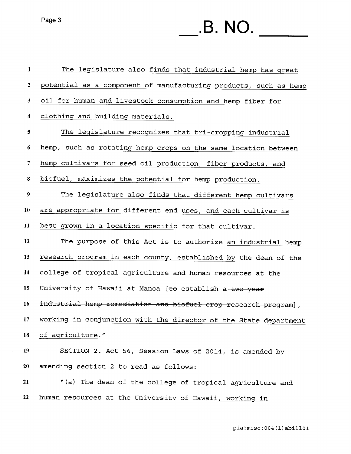Page 3

# **.B. NO.**

| $\mathbf{1}$            | The legislature also finds that industrial hemp has great        |
|-------------------------|------------------------------------------------------------------|
| $\mathbf{2}$            | potential as a component of manufacturing products, such as hemp |
| 3                       | oil for human and livestock consumption and hemp fiber for       |
| $\overline{\mathbf{4}}$ | clothing and building materials.                                 |
| 5                       | The legislature recognizes that tri-cropping industrial          |
| 6                       | hemp, such as rotating hemp crops on the same location between   |
| $\overline{7}$          | hemp cultivars for seed oil production, fiber products, and      |
| 8                       | biofuel, maximizes the potential for hemp production.            |
| 9 <sup>°</sup>          | The legislature also finds that different hemp cultivars         |
| 10                      | are appropriate for different end uses, and each cultivar is     |
| 11                      | best grown in a location specific for that cultivar.             |
| 12                      | The purpose of this Act is to authorize an industrial hemp       |
| 13                      | research program in each county, established by the dean of the  |
| 14                      | college of tropical agriculture and human resources at the       |
| 15                      | University of Hawaii at Manoa [to establish a two year           |
| 16                      | industrial hemp remediation and biofuel crop research program],  |
| 17                      | working in conjunction with the director of the State department |
| 18                      | of agriculture."                                                 |
| 19                      | SECTION 2. Act 56, Session Laws of 2014, is amended by           |
| 20                      | amending section 2 to read as follows:                           |
| 21                      | "(a) The dean of the college of tropical agriculture and         |
| 22                      | human resources at the University of Hawaii, working in          |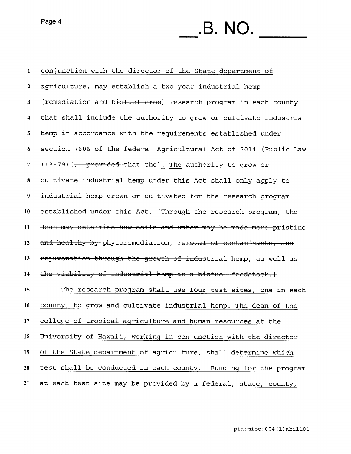Page 4

# **.B. NO.**

| $\mathbf{1}$            | conjunction with the director of the State department of             |
|-------------------------|----------------------------------------------------------------------|
| $\mathbf{2}$            | agriculture, may establish a two-year industrial hemp                |
| 3                       | [remediation and biofuel crop] research program in each county       |
| $\overline{\mathbf{4}}$ | that shall include the authority to grow or cultivate industrial     |
| 5 <sub>5</sub>          | hemp in accordance with the requirements established under           |
| 6                       | section 7606 of the federal Agricultural Act of 2014 (Public Law     |
| $\overline{\tau}$       | 113-79) [ <del>, provided that the</del> ]. The authority to grow or |
| $\bf{8}$                | cultivate industrial hemp under this Act shall only apply to         |
| $\boldsymbol{9}$        | industrial hemp grown or cultivated for the research program         |
| 10                      | established under this Act. [Through the research program, the       |
| 11                      | dean may determine how soils and water may be made more pristine     |
| 12                      | and healthy by phytoremediation, removal of contaminants, and        |
| 13                      | rejuvenation through the growth of industrial hemp, as well as       |
| 14                      | the viability of industrial hemp as a biofuel feedstock.}            |
| 15                      | The research program shall use four test sites, one in each          |
| 16                      | county, to grow and cultivate industrial hemp. The dean of the       |
| 17                      | college of tropical agriculture and human resources at the           |
| 18                      | University of Hawaii, working in conjunction with the director       |
| 19                      | of the State department of agriculture, shall determine which        |
| 20                      | test shall be conducted in each county. Funding for the program      |
| 21                      | at each test site may be provided by a federal, state, county,       |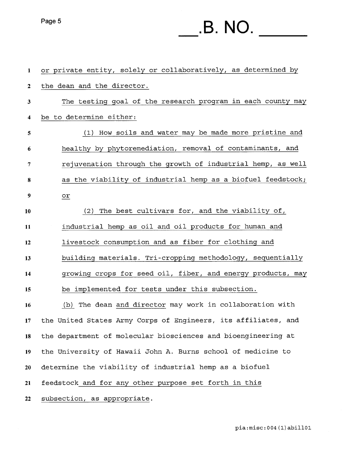## Page 5 **.B. NO.**

| 1                | or private entity, solely or collaboratively, as determined by |
|------------------|----------------------------------------------------------------|
| $\boldsymbol{2}$ | the dean and the director.                                     |
| 3                | The testing goal of the research program in each county may    |
| 4                | be to determine either:                                        |
| 5                | (1) How soils and water may be made more pristine and          |
| 6                | healthy by phytoremediation, removal of contaminants, and      |
| 7                | rejuvenation through the growth of industrial hemp, as well    |
| 8                | as the viability of industrial hemp as a biofuel feedstock;    |
| 9                | or                                                             |
| 10               | (2) The best cultivars for, and the viability of,              |
| 11               | industrial hemp as oil and oil products for human and          |
| 12               | livestock consumption and as fiber for clothing and            |
| 13               | building materials. Tri-cropping methodology, sequentially     |
| 14               | growing crops for seed oil, fiber, and energy products, may    |
| 15               | be implemented for tests under this subsection.                |
| 16               | (b) The dean and director may work in collaboration with       |
| 17               | the United States Army Corps of Engineers, its affiliates, and |
| 18               | the department of molecular biosciences and bioengineering at  |
| 19               | the University of Hawaii John A. Burns school of medicine to   |
| 20               | determine the viability of industrial hemp as a biofuel        |
| 21               | feedstock and for any other purpose set forth in this          |
| 22               | subsection, as appropriate.                                    |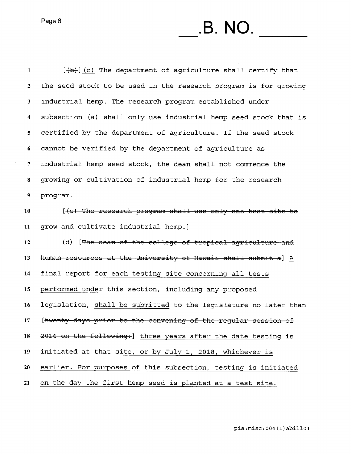## $P\text{age 6}$  **. B. NO.**

1 [(b) (c) The department of agriculture shall certify that 2 the seed stock to be used in the research program is for growing 3 industrial hemp. The research program established under 4 subsection (a) shall only use industrial hemp seed stock that is 5 certified by the department of agriculture. If the seed stock 6 cannot be verified by the department of agriculture as 7 industrial hemp seed stock, the dean shall not commence the 8 growing or cultivation of industrial hemp for the research 9 program. 10 [(c) The research program shall use only one test site to 11 grow and cultivate industrial hemp.] 12 (d) [The dean of the college of tropical agriculture and 13 human-resources at the University of Hawaii shall submit a] A 14 final report for each testing site concerning all tests 15 performed under this section, including any proposed 16 legislation, shall be submitted to the legislature no later than 17 [twenty days prior to the convening of the regular session of 18 2016 on the following:] three years after the date testing is 19 initiated at that site, or by July 1, 2018, whichever is 20 earlier. For purposes of this subsection, testing is initiated 21 on the day the first hemp seed is planted at a test site.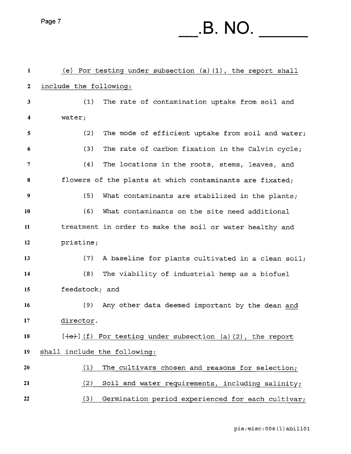## Page 7 **.B. NO.**

| $\mathbf{1}$     | (e) For testing under subsection (a)(1), the report shall   |
|------------------|-------------------------------------------------------------|
| $\boldsymbol{2}$ | include the following:                                      |
| 3                | (1)<br>The rate of contamination uptake from soil and       |
| $\boldsymbol{4}$ | water;                                                      |
| 5                | (2)<br>The mode of efficient uptake from soil and water;    |
| 6                | (3)<br>The rate of carbon fixation in the Calvin cycle;     |
| 7                | (4)<br>The locations in the roots, stems, leaves, and       |
| 8                | flowers of the plants at which contaminants are fixated;    |
| 9                | (5)<br>What contaminants are stabilized in the plants;      |
| 10               | (6)<br>What contaminants on the site need additional        |
| 11               | treatment in order to make the soil or water healthy and    |
| 12               | pristine;                                                   |
| 13               | (7)<br>A baseline for plants cultivated in a clean soil;    |
| 14               | (8)<br>The viability of industrial hemp as a biofuel        |
| 15               | feedstock; and                                              |
| 16               | (9)<br>Any other data deemed important by the dean and      |
| 17               | director.                                                   |
| 18               | $[+e+]$ (f) For testing under subsection (a)(2), the report |
| 19               | shall include the following:                                |
| 20               | (1)<br>The cultivars chosen and reasons for selection;      |
| 21               | (2)<br>Soil and water requirements, including salinity;     |
| 22               | (3)<br>Germination period experienced for each cultivar;    |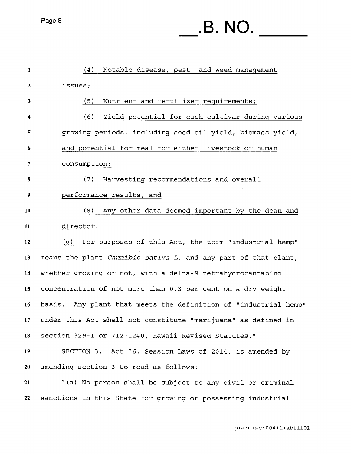## **.B. NO.**

| $\mathbf{1}$ | (4)<br>Notable disease, pest, and weed management               |
|--------------|-----------------------------------------------------------------|
| $\mathbf{2}$ | issues;                                                         |
| 3            | (5)<br>Nutrient and fertilizer requirements;                    |
| 4            | (6)<br>Yield potential for each cultivar during various         |
| 5            | growing periods, including seed oil yield, biomass yield,       |
| 6            | and potential for meal for either livestock or human            |
| 7            | consumption;                                                    |
| 8            | Harvesting recommendations and overall<br>(7)                   |
| 9            | performance results; and                                        |
| 10           | (8)<br>Any other data deemed important by the dean and          |
| 11           | director.                                                       |
| 12           | For purposes of this Act, the term "industrial hemp"<br>(g)     |
| 13           | means the plant Cannibis sativa L. and any part of that plant,  |
| 14           | whether growing or not, with a delta-9 tetrahydrocannabinol     |
| 15           | concentration of not more than 0.3 per cent on a dry weight     |
| 16           | basis. Any plant that meets the definition of "industrial hemp" |
| 17           | under this Act shall not constitute "marijuana" as defined in   |
| 18           | section 329-1 or 712-1240, Hawaii Revised Statutes."            |
| 19           | SECTION 3. Act 56, Session Laws of 2014, is amended by          |
| 20           | amending section 3 to read as follows:                          |
| 21           | "(a) No person shall be subject to any civil or criminal        |
| 22           | sanctions in this State for growing or possessing industrial    |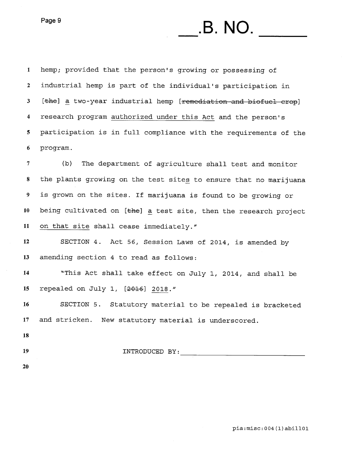Page 9

1 hemp; provided that the person's growing or possessing of 2 industrial hemp is part of the individual's participation in 3 [the] a two-year industrial hemp [remediation and biofuel crop] 4 research program authorized under this Act and the person's 5 participation is in full compliance with the requirements of the 6 program.

**.B. NO.** 

7 (b) The department of agriculture shall test and monitor 8 the plants growing on the test sites to ensure that no marijuana 9 is grown on the sites. If marijuana is found to be growing or 10 being cultivated on  $[the]$  a test site, then the research project 11 on that site shall cease immediately."

12 SECTION 4. Act 56, Session Laws of 2014, is amended by 13 amending section 4 to read as follows:

14 "This Act shall take effect on July 1, 2014, and shall be 15 repealed on July 1, [201G] 2018."

16 SECTION 5. Statutory material to be repealed is bracketed 17 and stricken. New statutory material is underscored.

- 18
- 

19 INTRODUCED BY:

20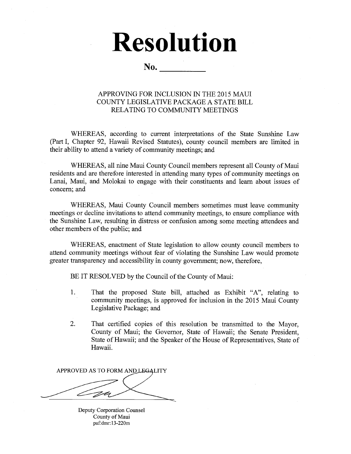# **Resolution**

**No.** 

#### APPROVING FOR INCLUSION IN THE 2015 MAUI COUNTY LEGISLATIVE PACKAGE A STATE BILL RELATING TO COMMUNITY MEETINGS

WHEREAS, according to current interpretations of the State Sunshine Law (Part I, Chapter 92, Hawaii Revised Statutes), county council members are limited in their ability to attend a variety of community meetings; and

WHEREAS, all nine Maui County Council members represent all County of Maui residents and are therefore interested in attending many types of community meetings on Lanai, Maui, and Molokai to engage with their constituents and learn about issues of concern; and

WHEREAS, Maui County Council members sometimes must leave community meetings or decline invitations to attend community meetings, to ensure compliance with the Sunshine Law, resulting in distress or confusion among some meeting attendees and other members of the public; and

WHEREAS, enactment of State legislation to allow county council members to attend community meetings without fear of violating the Sunshine Law would promote greater transparency and accessibility in county government; now, therefore,

BE IT RESOLVED by the Council of the County of Maui:

- 1. That the proposed State bill, attached as Exhibit "A", relating to community meetings, is approved for inclusion in the 2015 Maui County Legislative Package; and
- 2. That certified copies of this resolution be transmitted to the Mayor, County of Maui; the Governor, State of Hawaii; the Senate President, State of Hawaii; and the Speaker of the House of Representatives, State of Hawaii.

APPROVED AS TO FORM AND LEGALITY

Deputy Corporation Counsel County of Maui paf:dmr:13-220m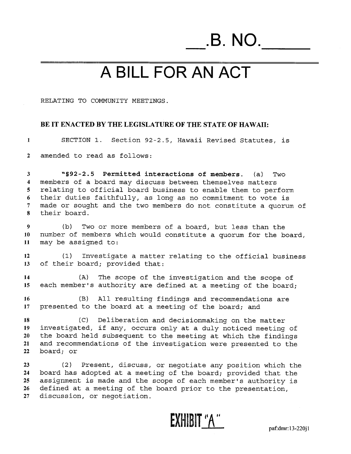**.B. NO.** 

## **A BILL FOR AN ACT**

RELATING TO COMMUNITY MEETINGS.

#### **BE IT ENACTED BY THE LEGISLATURE OF THE STATE OF HAWAII:**

**1** SECTION 1. Section 92-2.5, Hawaii Revised Statutes, is

2 amended to read as follows:

3 **"§92-2.5 Permitted interactions of members.** (a) Two **4** members of a board may discuss between themselves matters 5 relating to official board business to enable them to perform 6 their duties faithfully, as long as no commitment to vote is 7 made or sought and the two members do not constitute a quorum of **8** their board.

9 (b) Two or more members of a board, but less than the **10** number of members which would constitute a quorum for the board, 11 may be assigned to:

**12** (1) Investigate a matter relating to the official business 13 of their board; provided that:

**14** (A) The scope of the investigation and the scope of 15 each member's authority are defined at a meeting of the board;

**16** (B) All resulting findings and recommendations are 17 presented to the board at a meeting of the board; and

(C) Deliberation and decisionmaking on the matter 19 investigated, if any, occurs only at a duly noticed meeting of the board held subsequent to the meeting at which the findings and recommendations of the investigation were presented to the board; or

23 (2) Present, discuss, or negotiate any position which the **24** board has adopted at a meeting of the board; provided that the 25 assignment is made and the scope of each member's authority is 26 defined at a meeting of the board prior to the presentation, 27 discussion, or negotiation.

 $$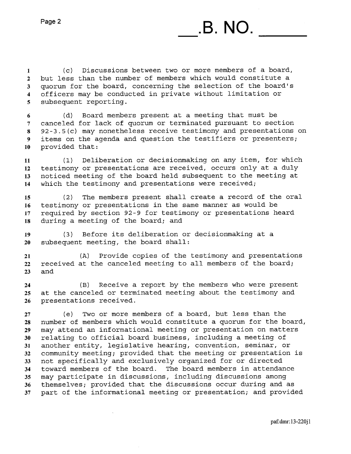1 (c) Discussions between two or more members of a board, 2 but less than the number of members which would constitute a 3 quorum for the board, concerning the selection of the board's 4 officers may be conducted in private without limitation or 5 subsequent reporting.

6 (d) Board members present at a meeting that must be 7 canceled for lack of quorum or terminated pursuant to section 8 92-3.5(c) may nonetheless receive testimony and presentations on 9 items on the agenda and question the testifiers or presenters; 10 provided that:

11 (1) Deliberation or decisionmaking on any item, for which 12 testimony or presentations are received, occurs only at a duly 13 noticed meeting of the board held subsequent to the meeting at 14 which the testimony and presentations were received;

15 (2) The members present shall create a record of the oral 16 testimony or presentations in the same manner as would be 17 required by section 92-9 for testimony or presentations heard 18 during a meeting of the board; and

19 (3) Before its deliberation or decisionmaking at a 20 subsequent meeting, the board shall:

21 (A) Provide copies of the testimony and presentations 22 received at the canceled meeting to all members of the board; 23 and

24 (B) Receive a report by the members who were present 25 at the canceled or terminated meeting about the testimony and 26 presentations received.

27 (e) Two or more members of a board, but less than the 28 number of members which would constitute a quorum for the board, 29 may attend an informational meeting or presentation on matters 30 relating to official board business, including a meeting of 31 another entity, legislative hearing, convention, seminar, or 32 community meeting; provided that the meeting or presentation is 33 not specifically and exclusively organized for or directed 34 toward members of the board. The board members in attendance 35 may participate in discussions, including discussions among 36 themselves; provided that the discussions occur during and as 37 part of the informational meeting or presentation; and provided